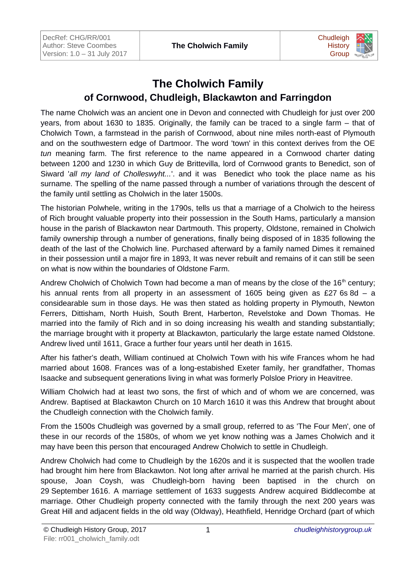

## **The Cholwich Family of Cornwood, Chudleigh, Blackawton and Farringdon**

The name Cholwich was an ancient one in Devon and connected with Chudleigh for just over 200 years, from about 1630 to 1835. Originally, the family can be traced to a single farm – that of Cholwich Town, a farmstead in the parish of Cornwood, about nine miles north-east of Plymouth and on the southwestern edge of Dartmoor. The word 'town' in this context derives from the OE *tun* meaning farm. The first reference to the name appeared in a Cornwood charter dating between 1200 and 1230 in which Guy de Brittevilla, lord of Cornwood grants to Benedict, son of Siward '*all my land of Cholleswyht...*'. and it was Benedict who took the place name as his surname. The spelling of the name passed through a number of variations through the descent of the family until settling as Cholwich in the later 1500s.

The historian Polwhele, writing in the 1790s, tells us that a marriage of a Cholwich to the heiress of Rich brought valuable property into their possession in the South Hams, particularly a mansion house in the parish of Blackawton near Dartmouth. This property, Oldstone, remained in Cholwich family ownership through a number of generations, finally being disposed of in 1835 following the death of the last of the Cholwich line. Purchased afterward by a family named Dimes it remained in their possession until a major fire in 1893, It was never rebuilt and remains of it can still be seen on what is now within the boundaries of Oldstone Farm.

Andrew Cholwich of Cholwich Town had become a man of means by the close of the  $16<sup>th</sup>$  century; his annual rents from all property in an assessment of 1605 being given as £27 6s 8d – a considearable sum in those days. He was then stated as holding property in Plymouth, Newton Ferrers, Dittisham, North Huish, South Brent, Harberton, Revelstoke and Down Thomas. He married into the family of Rich and in so doing increasing his wealth and standing substantially; the marriage brought with it property at Blackawton, particularly the large estate named Oldstone. Andrew lived until 1611, Grace a further four years until her death in 1615.

After his father's death, William continued at Cholwich Town with his wife Frances whom he had married about 1608. Frances was of a long-estabished Exeter family, her grandfather, Thomas Isaacke and subsequent generations living in what was formerly Polsloe Priory in Heavitree.

William Cholwich had at least two sons, the first of which and of whom we are concerned, was Andrew. Baptised at Blackawton Church on 10 March 1610 it was this Andrew that brought about the Chudleigh connection with the Cholwich family.

From the 1500s Chudleigh was governed by a small group, referred to as 'The Four Men', one of these in our records of the 1580s, of whom we yet know nothing was a James Cholwich and it may have been this person that encouraged Andrew Cholwich to settle in Chudleigh.

Andrew Cholwich had come to Chudleigh by the 1620s and it is suspected that the woollen trade had brought him here from Blackawton. Not long after arrival he married at the parish church. His spouse, Joan Coysh, was Chudleigh-born having been baptised in the church on 29 September 1616. A marriage settlement of 1633 suggests Andrew acquired Biddlecombe at marriage. Other Chudleigh property connected with the family through the next 200 years was Great Hill and adjacent fields in the old way (Oldway), Heathfield, Henridge Orchard (part of which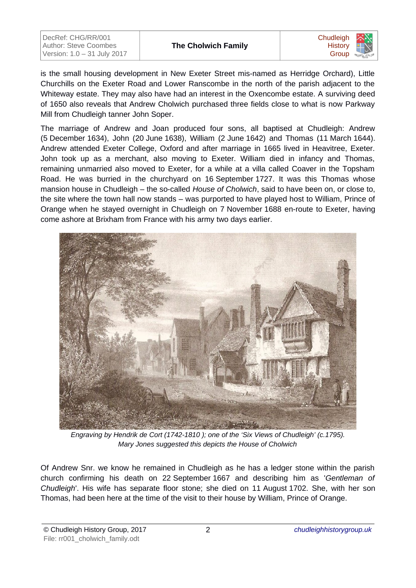| DecRef: CHG/RR/001           |
|------------------------------|
| <b>Author: Steve Coombes</b> |
| Version: 1.0 - 31 July 2017  |



is the small housing development in New Exeter Street mis-named as Herridge Orchard), Little Churchills on the Exeter Road and Lower Ranscombe in the north of the parish adjacent to the Whiteway estate. They may also have had an interest in the Oxencombe estate. A surviving deed of 1650 also reveals that Andrew Cholwich purchased three fields close to what is now Parkway Mill from Chudleigh tanner John Soper.

The marriage of Andrew and Joan produced four sons, all baptised at Chudleigh: Andrew (5 December 1634), John (20 June 1638), William (2 June 1642) and Thomas (11 March 1644). Andrew attended Exeter College, Oxford and after marriage in 1665 lived in Heavitree, Exeter. John took up as a merchant, also moving to Exeter. William died in infancy and Thomas, remaining unmarried also moved to Exeter, for a while at a villa called Coaver in the Topsham Road. He was burried in the churchyard on 16 September 1727. It was this Thomas whose mansion house in Chudleigh – the so-called *House of Cholwich*, said to have been on, or close to, the site where the town hall now stands – was purported to have played host to William, Prince of Orange when he stayed overnight in Chudleigh on 7 November 1688 en-route to Exeter, having come ashore at Brixham from France with his army two days earlier.



*Engraving by Hendrik de Cort (1742-1810 ); one of the 'Six Views of Chudleigh' (c.1795). Mary Jones suggested this depicts the House of Cholwich*

Of Andrew Snr. we know he remained in Chudleigh as he has a ledger stone within the parish church confirming his death on 22 September 1667 and describing him as '*Gentleman of Chudleigh*'. His wife has separate floor stone; she died on 11 August 1702. She, with her son Thomas, had been here at the time of the visit to their house by William, Prince of Orange.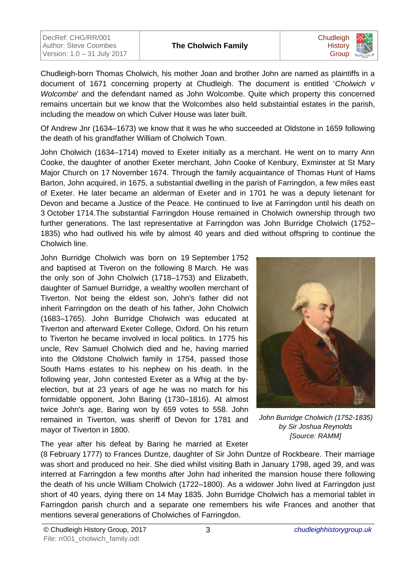| DecRef: CHG/RR/001          |
|-----------------------------|
| Author: Steve Coombes       |
| Version: 1.0 - 31 July 2017 |



Chudleigh-born Thomas Cholwich, his mother Joan and brother John are named as plaintiffs in a document of 1671 concerning property at Chudleigh. The document is entitled '*Cholwich v Wolcombe*' and the defendant named as John Wolcombe. Quite which property this concerned remains uncertain but we know that the Wolcombes also held substaintial estates in the parish, including the meadow on which Culver House was later built.

Of Andrew Jnr (1634–1673) we know that it was he who succeeded at Oldstone in 1659 following the death of his grandfather William of Cholwich Town.

John Cholwich (1634–1714) moved to Exeter initially as a merchant. He went on to marry Ann Cooke, the daughter of another Exeter merchant, John Cooke of Kenbury, Exminster at St Mary Major Church on 17 November 1674. Through the family acquaintance of Thomas Hunt of Hams Barton, John acquired, in 1675, a substantial dwelling in the parish of Farringdon, a few miles east of Exeter. He later became an alderman of Exeter and in 1701 he was a deputy lietenant for Devon and became a Justice of the Peace. He continued to live at Farringdon until his death on 3 October 1714.The substantial Farringdon House remained in Cholwich ownership through two further generations. The last representative at Farringdon was John Burridge Cholwich (1752– 1835) who had outlived his wife by almost 40 years and died without offspring to continue the Cholwich line.

John Burridge Cholwich was born on 19 September 1752 and baptised at Tiveron on the following 8 March. He was the only son of John Cholwich (1718–1753) and Elizabeth, daughter of Samuel Burridge, a wealthy woollen merchant of Tiverton. Not being the eldest son, John's father did not inherit Farringdon on the death of his father, John Cholwich (1683–1765). John Burridge Cholwich was educated at Tiverton and afterward Exeter College, Oxford. On his return to Tiverton he became involved in local politics. In 1775 his uncle, Rev Samuel Cholwich died and he, having married into the Oldstone Cholwich family in 1754, passed those South Hams estates to his nephew on his death. In the following year, John contested Exeter as a Whig at the byelection, but at 23 years of age he was no match for his formidable opponent, John Baring (1730–1816). At almost twice John's age, Baring won by 659 votes to 558. John remained in Tiverton, was sheriff of Devon for 1781 and mayor of Tiverton in 1800.

The year after his defeat by Baring he married at Exeter



*John Burridge Cholwich (1752-1835) by Sir Joshua Reynolds [Source: RAMM]*

(8 February 1777) to Frances Duntze, daughter of Sir John Duntze of Rockbeare. Their marriage was short and produced no heir. She died whilst visiting Bath in January 1798, aged 39, and was interred at Farringdon a few months after John had inherited the mansion house there following the death of his uncle William Cholwich (1722–1800). As a widower John lived at Farringdon just short of 40 years, dying there on 14 May 1835. John Burridge Cholwich has a memorial tablet in Farringdon parish church and a separate one remembers his wife Frances and another that mentions several generations of Cholwiches of Farringdon.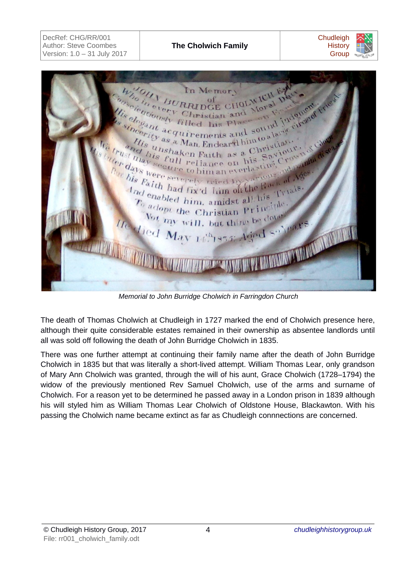In Memo BURRIDO Green Christian and Moral independent Indental every Saviour. trust this full reliance on his Savid or days were retriet of the Raith had fix'd lim of This Faith had fix'd him of the Back Trials. Tynals.  $\frac{d_{\text{nd}}}{T_0}$  enabled him, amidst all his  $T_0$  adopt the Christian Principle. Vot my will, but thine be done MARITAN led May 14th 1855:

*Memorial to John Burridge Cholwich in Farringdon Church*

The death of Thomas Cholwich at Chudleigh in 1727 marked the end of Cholwich presence here, although their quite considerable estates remained in their ownership as absentee landlords until all was sold off following the death of John Burridge Cholwich in 1835.

There was one further attempt at continuing their family name after the death of John Burridge Cholwich in 1835 but that was literally a short-lived attempt. William Thomas Lear, only grandson of Mary Ann Cholwich was granted, through the will of his aunt, Grace Cholwich (1728–1794) the widow of the previously mentioned Rev Samuel Cholwich, use of the arms and surname of Cholwich. For a reason yet to be determined he passed away in a London prison in 1839 although his will styled him as William Thomas Lear Cholwich of Oldstone House, Blackawton. With his passing the Cholwich name became extinct as far as Chudleigh connnections are concerned.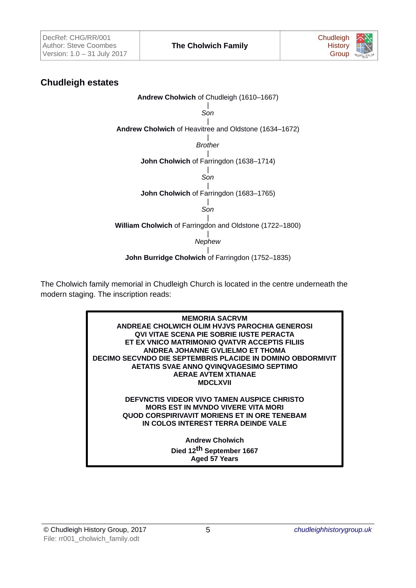

## **Chudleigh estates**

**Andrew Cholwich** of Chudleigh (1610–1667) | *Son* | **Andrew Cholwich** of Heavitree and Oldstone (1634–1672) | *Brother* | **John Cholwich** of Farringdon (1638–1714) | *Son* | **John Cholwich** of Farringdon (1683–1765) | *Son* | **William Cholwich** of Farringdon and Oldstone (1722–1800) | *Nephew* | **John Burridge Cholwich** of Farringdon (1752–1835)

The Cholwich family memorial in Chudleigh Church is located in the centre underneath the modern staging. The inscription reads:

> **MEMORIA SACRVM ANDREAE CHOLWICH OLIM HVJVS PAROCHIA GENEROSI QVI VITAE SCENA PIE SOBRIE IUSTE PERACTA ET EX VNICO MATRIMONIO QVATVR ACCEPTIS FILIIS ANDREA JOHANNE GVLIELMO ET THOMA DECIMO SECVNDO DIE SEPTEMBRIS PLACIDE IN DOMINO OBDORMIVIT AETATIS SVAE ANNO QVINQVAGESIMO SEPTIMO AERAE AVTEM XTIANAE MDCLXVII**

**DEFVNCTIS VIDEOR VIVO TAMEN AUSPICE CHRISTO MORS EST IN MVNDO VIVERE VITA MORI QUOD CORSPIRIVAVIT MORIENS ET IN ORE TENEBAM IN COLOS INTEREST TERRA DEINDE VALE**

> **Andrew Cholwich Died 12th September 1667 Aged 57 Years**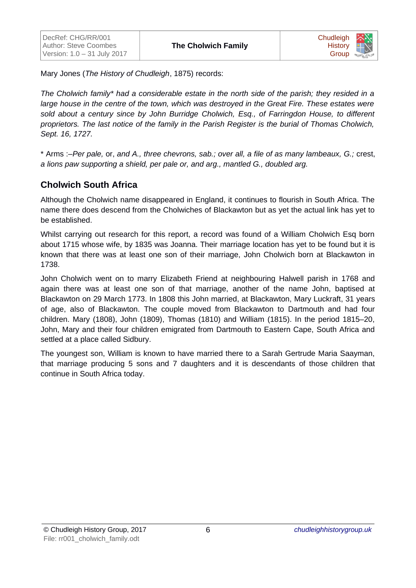

Mary Jones (*The History of Chudleigh*, 1875) records:

*The Cholwich family\* had a considerable estate in the north side of the parish; they resided in a large house in the centre of the town, which was destroyed in the Great Fire. These estates were sold about a century since by John Burridge Cholwich, Esq., of Farringdon House, to different proprietors. The last notice of the family in the Parish Register is the burial of Thomas Cholwich, Sept. 16, 1727.*

\* Arms :–*Per pale,* or, *and A., three chevrons, sab.; over all, a file of as many lambeaux, G.;* crest, *a lions paw supporting a shield, per pale or, and arg., mantled G., doubled arg.*

## **Cholwich South Africa**

Although the Cholwich name disappeared in England, it continues to flourish in South Africa. The name there does descend from the Cholwiches of Blackawton but as yet the actual link has yet to be established.

Whilst carrying out research for this report, a record was found of a William Cholwich Esq born about 1715 whose wife, by 1835 was Joanna. Their marriage location has yet to be found but it is known that there was at least one son of their marriage, John Cholwich born at Blackawton in 1738.

John Cholwich went on to marry Elizabeth Friend at neighbouring Halwell parish in 1768 and again there was at least one son of that marriage, another of the name John, baptised at Blackawton on 29 March 1773. In 1808 this John married, at Blackawton, Mary Luckraft, 31 years of age, also of Blackawton. The couple moved from Blackawton to Dartmouth and had four children. Mary (1808), John (1809), Thomas (1810) and William (1815). In the period 1815–20, John, Mary and their four children emigrated from Dartmouth to Eastern Cape, South Africa and settled at a place called Sidbury.

The youngest son, William is known to have married there to a Sarah Gertrude Maria Saayman, that marriage producing 5 sons and 7 daughters and it is descendants of those children that continue in South Africa today.